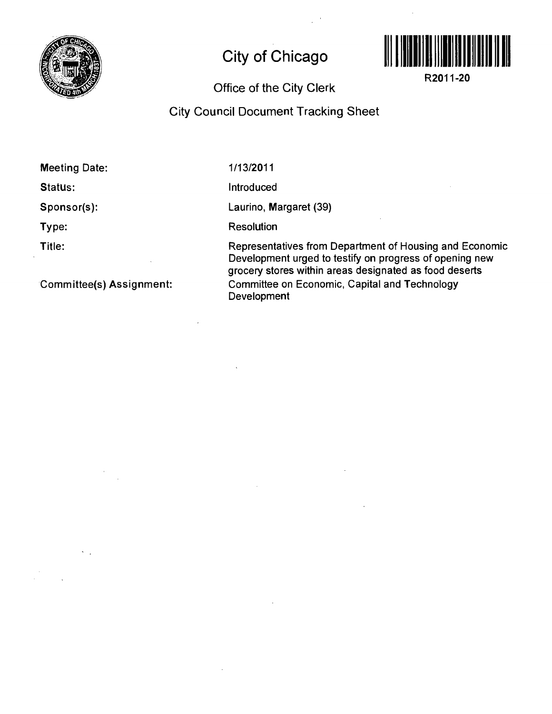

## **City of Chicago**



**R2011-20** 

## Office of the City Clerk

## City Council Document Tracking Sheet

Meeting Date:

Status:

Sponsor(s):

Type:

Title:

Committee(s) Assignment:

1/13/2011

Introduced

Laurino, Margaret (39)

**Resolution** 

Representatives from Department of Housing and Economic Development urged to testify on progress of opening new grocery stores within areas designated as food deserts Committee on Economic, Capital and Technology Development